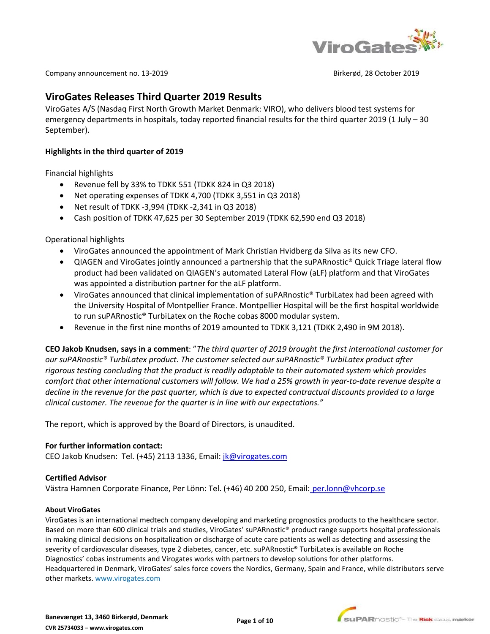

Company announcement no. 13-2019 Birkerød, 28 October 2019

# **ViroGates Releases Third Quarter 2019 Results**

ViroGates A/S (Nasdaq First North Growth Market Denmark: VIRO), who delivers blood test systems for emergency departments in hospitals, today reported financial results for the third quarter 2019 (1 July – 30 September).

### **Highlights in the third quarter of 2019**

Financial highlights

- Revenue fell by 33% to TDKK 551 (TDKK 824 in Q3 2018)
- Net operating expenses of TDKK 4,700 (TDKK 3,551 in Q3 2018)
- Net result of TDKK -3,994 (TDKK -2,341 in Q3 2018)
- Cash position of TDKK 47,625 per 30 September 2019 (TDKK 62,590 end Q3 2018)

Operational highlights

- [ViroGates announced the appointment of Mark Christian Hvidberg da Silva as its new CFO.](https://tools.eurolandir.com/tools/Pressreleases/GetPressRelease/?ID=3633426&lang=en-GB&companycode=dk-viro&v=)
- [QIAGEN and ViroGates jointly announced a partnership](https://tools.eurolandir.com/tools/Pressreleases/GetPressRelease/?ID=3637130&lang=en-GB&companycode=dk-viro&v=) that the suPARnostic® Quick Triage lateral flow [product had been validated on QIAGEN's automated Lateral Flow \(aLF\) platform](https://tools.eurolandir.com/tools/Pressreleases/GetPressRelease/?ID=3637130&lang=en-GB&companycode=dk-viro&v=) and that ViroGates was appointed a distribution partner for the aLF platform.
- ViroGates [announced that clinical implementation of suPARnostic® TurbiLatex had been agreed with](https://tools.eurolandir.com/tools/Pressreleases/GetPressRelease/?ID=3640017&lang=en-GB&companycode=dk-viro&v=)  [the University Hospital of Montpellier France.](https://tools.eurolandir.com/tools/Pressreleases/GetPressRelease/?ID=3640017&lang=en-GB&companycode=dk-viro&v=) Montpellier Hospital will be the first hospital worldwide to run suPARnostic® TurbiLatex on the Roche cobas 8000 modular system.
- Revenue in the first nine months of 2019 amounted to TDKK 3,121 (TDKK 2,490 in 9M 2018).

**CEO Jakob Knudsen, says in a comment**: "*The third quarter of 2019 brought the first international customer for our suPARnostic® TurbiLatex product. The customer selected our suPARnostic® TurbiLatex product after rigorous testing concluding that the product is readily adaptable to their automated system which provides comfort that other international customers will follow. We had a 25% growth in year-to-date revenue despite a decline in the revenue for the past quarter, which is due to expected contractual discounts provided to a large clinical customer. The revenue for the quarter is in line with our expectations."* 

The report, which is approved by the Board of Directors, is unaudited.

### **For further information contact:**

CEO Jakob Knudsen: Tel. (+45) 2113 1336, Email: *[jk@virogates.com](mailto:jk@virogates.com)* 

#### **Certified Advisor**

Västra Hamnen Corporate Finance, Per Lönn: Tel. (+46) 40 200 250, Email: [per.lonn@vhcorp.se](mailto:per.lonn@vhcorp.se)

#### **About ViroGates**

ViroGates is an international medtech company developing and marketing prognostics products to the healthcare sector. Based on more than 600 clinical trials and studies, ViroGates' suPARnostic® product range supports hospital professionals in making clinical decisions on hospitalization or discharge of acute care patients as well as detecting and assessing the severity of cardiovascular diseases, type 2 diabetes, cancer, etc. suPARnostic® TurbiLatex is available on Roche Diagnostics' cobas instruments and Virogates works with partners to develop solutions for other platforms. Headquartered in Denmark, ViroGates' sales force covers the Nordics, Germany, Spain and France, while distributors serve other markets. [www.virogates.com](http://www.virogates.com/)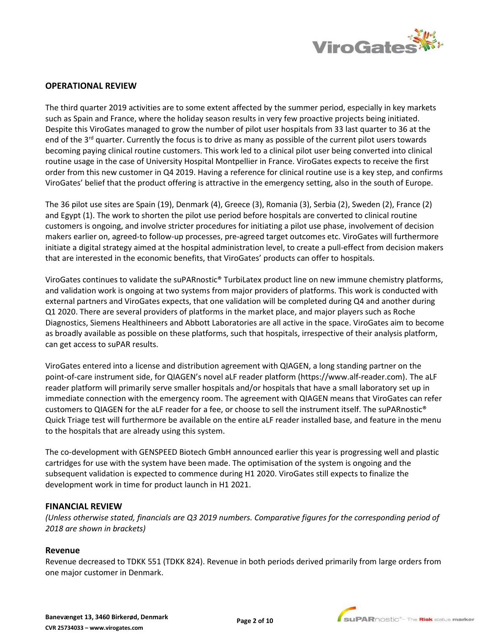

## **OPERATIONAL REVIEW**

The third quarter 2019 activities are to some extent affected by the summer period, especially in key markets such as Spain and France, where the holiday season results in very few proactive projects being initiated. Despite this ViroGates managed to grow the number of pilot user hospitals from 33 last quarter to 36 at the end of the 3<sup>rd</sup> quarter. Currently the focus is to drive as many as possible of the current pilot users towards becoming paying clinical routine customers. This work led to a clinical pilot user being converted into clinical routine usage in the case of University Hospital Montpellier in France. ViroGates expects to receive the first order from this new customer in Q4 2019. Having a reference for clinical routine use is a key step, and confirms ViroGates' belief that the product offering is attractive in the emergency setting, also in the south of Europe.

The 36 pilot use sites are Spain (19), Denmark (4), Greece (3), Romania (3), Serbia (2), Sweden (2), France (2) and Egypt (1). The work to shorten the pilot use period before hospitals are converted to clinical routine customers is ongoing, and involve stricter procedures for initiating a pilot use phase, involvement of decision makers earlier on, agreed-to follow-up processes, pre-agreed target outcomes etc. ViroGates will furthermore initiate a digital strategy aimed at the hospital administration level, to create a pull-effect from decision makers that are interested in the economic benefits, that ViroGates' products can offer to hospitals.

ViroGates continues to validate the suPARnostic® TurbiLatex product line on new immune chemistry platforms, and validation work is ongoing at two systems from major providers of platforms. This work is conducted with external partners and ViroGates expects, that one validation will be completed during Q4 and another during Q1 2020. There are several providers of platforms in the market place, and major players such as Roche Diagnostics, Siemens Healthineers and Abbott Laboratories are all active in the space. ViroGates aim to become as broadly available as possible on these platforms, such that hospitals, irrespective of their analysis platform, can get access to suPAR results.

ViroGates entered into a license and distribution agreement with QIAGEN, a long standing partner on the point-of-care instrument side, for QIAGEN's novel aLF reader platform [\(https://www.alf-reader.com\)](https://www.alf-reader.com/). The aLF reader platform will primarily serve smaller hospitals and/or hospitals that have a small laboratory set up in immediate connection with the emergency room. The agreement with QIAGEN means that ViroGates can refer customers to QIAGEN for the aLF reader for a fee, or choose to sell the instrument itself. The suPARnostic® Quick Triage test will furthermore be available on the entire aLF reader installed base, and feature in the menu to the hospitals that are already using this system.

The co-development with GENSPEED Biotech GmbH announced earlier this year is progressing well and plastic cartridges for use with the system have been made. The optimisation of the system is ongoing and the subsequent validation is expected to commence during H1 2020. ViroGates still expects to finalize the development work in time for product launch in H1 2021.

### **FINANCIAL REVIEW**

*(Unless otherwise stated, financials are Q3 2019 numbers. Comparative figures for the corresponding period of 2018 are shown in brackets)*

### **Revenue**

Revenue decreased to TDKK 551 (TDKK 824). Revenue in both periods derived primarily from large orders from one major customer in Denmark.

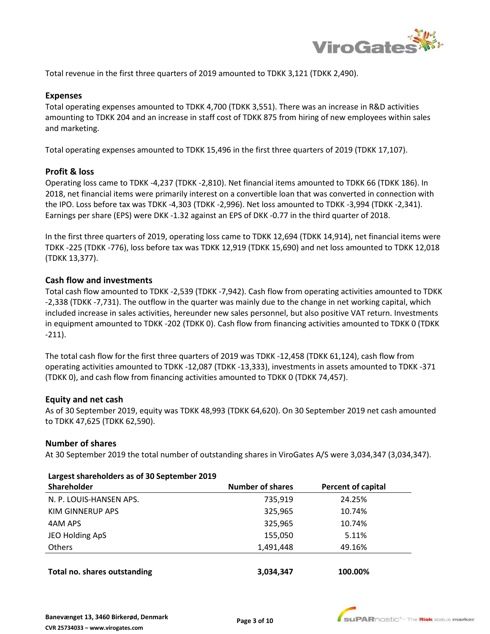

Total revenue in the first three quarters of 2019 amounted to TDKK 3,121 (TDKK 2,490).

#### **Expenses**

Total operating expenses amounted to TDKK 4,700 (TDKK 3,551). There was an increase in R&D activities amounting to TDKK 204 and an increase in staff cost of TDKK 875 from hiring of new employees within sales and marketing.

Total operating expenses amounted to TDKK 15,496 in the first three quarters of 2019 (TDKK 17,107).

### **Profit & loss**

Operating loss came to TDKK -4,237 (TDKK -2,810). Net financial items amounted to TDKK 66 (TDKK 186). In 2018, net financial items were primarily interest on a convertible loan that was converted in connection with the IPO. Loss before tax was TDKK -4,303 (TDKK -2,996). Net loss amounted to TDKK -3,994 (TDKK -2,341). Earnings per share (EPS) were DKK -1.32 against an EPS of DKK -0.77 in the third quarter of 2018.

In the first three quarters of 2019, operating loss came to TDKK 12,694 (TDKK 14,914), net financial items were TDKK -225 (TDKK -776), loss before tax was TDKK 12,919 (TDKK 15,690) and net loss amounted to TDKK 12,018 (TDKK 13,377).

### **Cash flow and investments**

Total cash flow amounted to TDKK -2,539 (TDKK -7,942). Cash flow from operating activities amounted to TDKK -2,338 (TDKK -7,731). The outflow in the quarter was mainly due to the change in net working capital, which included increase in sales activities, hereunder new sales personnel, but also positive VAT return. Investments in equipment amounted to TDKK -202 (TDKK 0). Cash flow from financing activities amounted to TDKK 0 (TDKK -211).

The total cash flow for the first three quarters of 2019 was TDKK -12,458 (TDKK 61,124), cash flow from operating activities amounted to TDKK -12,087 (TDKK -13,333), investments in assets amounted to TDKK -371 (TDKK 0), and cash flow from financing activities amounted to TDKK 0 (TDKK 74,457).

### **Equity and net cash**

As of 30 September 2019, equity was TDKK 48,993 (TDKK 64,620). On 30 September 2019 net cash amounted to TDKK 47,625 (TDKK 62,590).

#### **Number of shares**

At 30 September 2019 the total number of outstanding shares in ViroGates A/S were 3,034,347 (3,034,347).

### **Largest shareholders as of 30 September 2019**

| Shareholder             | <b>Number of shares</b> | Percent of capital |
|-------------------------|-------------------------|--------------------|
| N. P. LOUIS-HANSEN APS. | 735.919                 | 24.25%             |
| KIM GINNERUP APS        | 325,965                 | 10.74%             |
| 4AM APS                 | 325,965                 | 10.74%             |
| JEO Holding ApS         | 155,050                 | 5.11%              |
| <b>Others</b>           | 1,491,448               | 49.16%             |

**Total no. shares outstanding 3,034,347 100.00%**

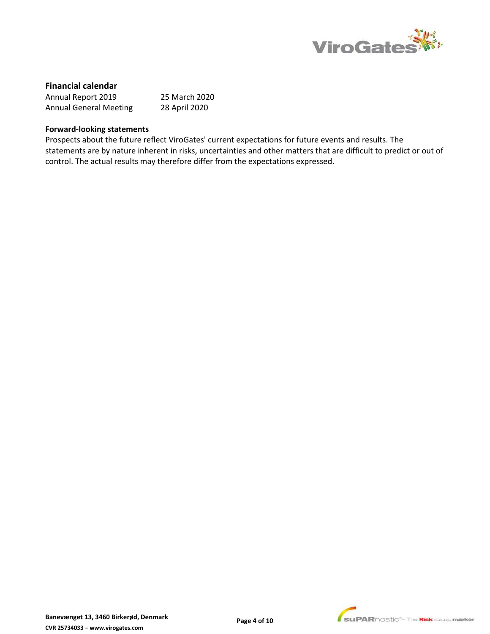

# **Financial calendar**

| Annual Report 2019            | 25 March 2020 |
|-------------------------------|---------------|
| <b>Annual General Meeting</b> | 28 April 2020 |

#### **Forward-looking statements**

Prospects about the future reflect ViroGates' current expectations for future events and results. The statements are by nature inherent in risks, uncertainties and other matters that are difficult to predict or out of control. The actual results may therefore differ from the expectations expressed.

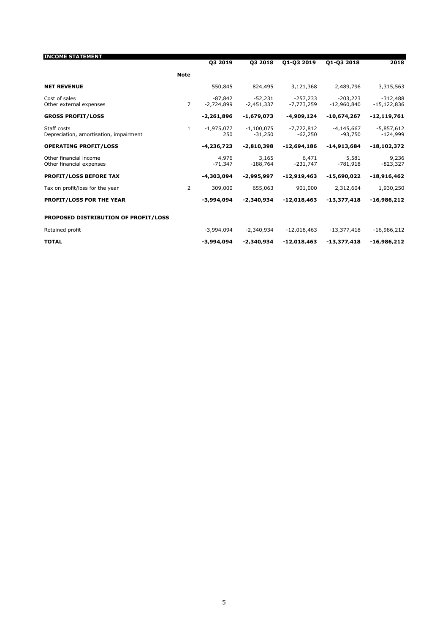|                | 03 2019                   | 03 2018                   | Q1-Q3 2019                 | Q1-Q3 2018                  | 2018                        |
|----------------|---------------------------|---------------------------|----------------------------|-----------------------------|-----------------------------|
| <b>Note</b>    |                           |                           |                            |                             |                             |
|                | 550,845                   | 824,495                   | 3,121,368                  | 2,489,796                   | 3,315,563                   |
| $\overline{7}$ | $-87.842$<br>$-2.724.899$ | $-52.231$<br>$-2.451.337$ | $-257.233$<br>$-7.773.259$ | $-203.223$<br>$-12,960,840$ | $-312.488$<br>$-15,122,836$ |
|                | $-2,261,896$              | -1,679,073                | -4,909,124                 | -10,674,267                 | $-12,119,761$               |
| $\mathbf{1}$   | $-1,975,077$<br>250       | $-1,100,075$<br>$-31,250$ | $-7,722,812$<br>$-62,250$  | $-4,145,667$<br>$-93,750$   | $-5,857,612$<br>$-124,999$  |
|                | $-4.236.723$              | $-2.810.398$              | $-12.694.186$              | -14,913,684                 | $-18,102,372$               |
|                | 4,976<br>$-71,347$        | 3,165<br>$-188,764$       | 6,471<br>$-231,747$        | 5,581<br>$-781,918$         | 9,236<br>$-823,327$         |
|                | -4,303,094                | $-2.995.997$              | $-12,919,463$              | -15,690,022                 | $-18,916,462$               |
| 2              | 309,000                   | 655,063                   | 901,000                    | 2,312,604                   | 1,930,250                   |
|                | $-3.994.094$              | $-2.340.934$              | $-12.018.463$              | $-13,377,418$               | $-16,986,212$               |
|                |                           |                           |                            |                             |                             |
|                | $-3,994,094$              | $-2,340,934$              | $-12,018,463$              | $-13,377,418$               | $-16,986,212$               |
|                | -3,994,094                | $-2,340,934$              | $-12,018,463$              | $-13,377,418$               | $-16,986,212$               |
|                |                           |                           |                            |                             |                             |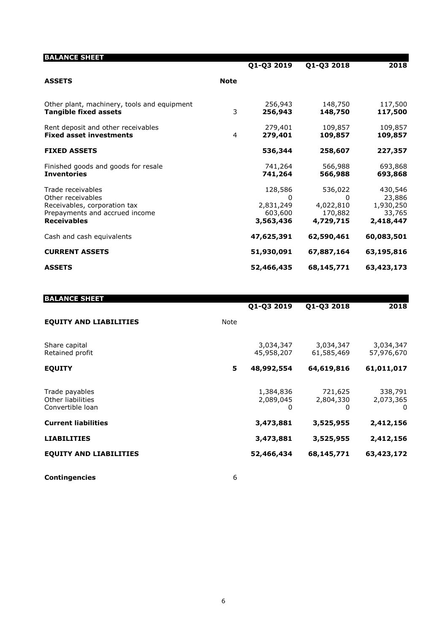| <b>BALANCE SHEET</b>                                                                                                           |             | Q1-Q3 2019                                        | Q1-Q3 2018                                        | 2018                                                  |
|--------------------------------------------------------------------------------------------------------------------------------|-------------|---------------------------------------------------|---------------------------------------------------|-------------------------------------------------------|
| <b>ASSETS</b>                                                                                                                  | <b>Note</b> |                                                   |                                                   |                                                       |
| Other plant, machinery, tools and equipment<br><b>Tangible fixed assets</b>                                                    | 3           | 256,943<br>256,943                                | 148,750<br>148,750                                | 117,500<br>117,500                                    |
| Rent deposit and other receivables<br><b>Fixed asset investments</b>                                                           | 4           | 279,401<br>279,401                                | 109,857<br>109,857                                | 109,857<br>109,857                                    |
| <b>FIXED ASSETS</b>                                                                                                            |             | 536,344                                           | 258,607                                           | 227,357                                               |
| Finished goods and goods for resale<br><b>Inventories</b>                                                                      |             | 741,264<br>741,264                                | 566,988<br>566,988                                | 693,868<br>693,868                                    |
| Trade receivables<br>Other receivables<br>Receivables, corporation tax<br>Prepayments and accrued income<br><b>Receivables</b> |             | 128,586<br>0<br>2,831,249<br>603,600<br>3,563,436 | 536,022<br>0<br>4,022,810<br>170,882<br>4,729,715 | 430,546<br>23,886<br>1,930,250<br>33,765<br>2,418,447 |
| Cash and cash equivalents                                                                                                      |             | 47,625,391                                        | 62,590,461                                        | 60,083,501                                            |
| <b>CURRENT ASSETS</b>                                                                                                          |             | 51,930,091                                        | 67,887,164                                        | 63,195,816                                            |
| <b>ASSETS</b>                                                                                                                  |             | 52,466,435                                        | 68,145,771                                        | 63,423,173                                            |

| <b>BALANCE SHEET</b>                                    |      | Q1-Q3 2019                  | Q1-Q3 2018                | 2018                                 |
|---------------------------------------------------------|------|-----------------------------|---------------------------|--------------------------------------|
| <b>EQUITY AND LIABILITIES</b>                           | Note |                             |                           |                                      |
| Share capital<br>Retained profit                        |      | 3,034,347<br>45,958,207     | 3,034,347<br>61,585,469   | 3,034,347<br>57,976,670              |
| <b>EOUITY</b>                                           | 5    | 48,992,554                  | 64,619,816                | 61,011,017                           |
| Trade payables<br>Other liabilities<br>Convertible loan |      | 1,384,836<br>2,089,045<br>0 | 721,625<br>2,804,330<br>0 | 338,791<br>2,073,365<br>$\mathbf{0}$ |
| <b>Current liabilities</b>                              |      | 3,473,881                   | 3,525,955                 | 2,412,156                            |
| <b>LIABILITIES</b>                                      |      | 3,473,881                   | 3,525,955                 | 2,412,156                            |
| <b>EQUITY AND LIABILITIES</b>                           |      | 52,466,434                  | 68,145,771                | 63,423,172                           |
|                                                         |      |                             |                           |                                      |

**Contingencies** 6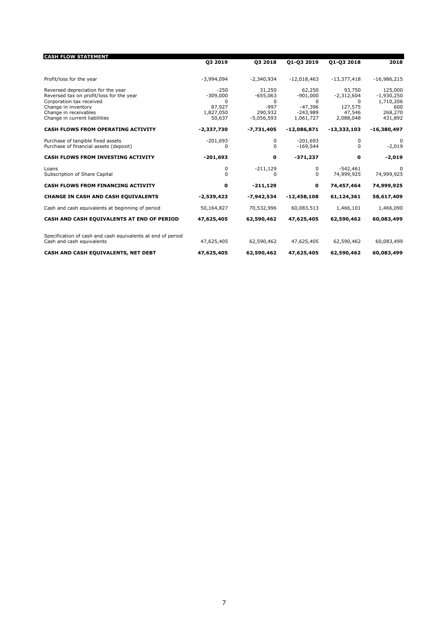| <b>CASH FLOW STATEMENT</b>                                                                                 |                               |                                   |                                      |                                        |                                      |
|------------------------------------------------------------------------------------------------------------|-------------------------------|-----------------------------------|--------------------------------------|----------------------------------------|--------------------------------------|
|                                                                                                            | 03 2019                       | 03 2018                           | 01-03 2019                           | 01-03 2018                             | 2018                                 |
| Profit/loss for the year                                                                                   | $-3,994,094$                  | $-2,340,934$                      | $-12,018,463$                        | $-13,377,418$                          | $-16,986,215$                        |
| Reversed depreciation for the year<br>Reversed tax on profit/loss for the year<br>Corporation tax received | $-250$<br>$-309,000$<br>0     | 31,250<br>$-655,063$<br>0         | 62,250<br>$-901,000$<br>$\Omega$     | 93,750<br>$-2,312,604$<br><sup>0</sup> | 125,000<br>$-1,930,250$<br>1,710,206 |
| Change in inventory<br>Change in receivables<br>Change in current liabilities                              | 87,927<br>1,827,050<br>50,637 | $-997$<br>290,932<br>$-5,056,593$ | $-47,396$<br>$-243,989$<br>1,061,727 | 127,575<br>47,546<br>2,088,048         | 600<br>268,270<br>431,892            |
| <b>CASH FLOWS FROM OPERATING ACTIVITY</b>                                                                  | $-2,337,730$                  | $-7,731,405$                      | $-12,086,871$                        | $-13,333,103$                          | -16,380,497                          |
| Purchase of tangible fixed assets<br>Purchase of financial assets (deposit)                                | $-201,693$<br>0               | 0<br>$\Omega$                     | $-201,693$<br>$-169,544$             | 0<br><sup>0</sup>                      | 0<br>$-2,019$                        |
| <b>CASH FLOWS FROM INVESTING ACTIVITY</b>                                                                  | $-201,693$                    | 0                                 | $-371,237$                           | 0                                      | $-2,019$                             |
| Loans<br>Subscription of Share Capital                                                                     | 0<br><sup>0</sup>             | $-211,129$<br>O                   | 0<br>$\Omega$                        | $-542.461$<br>74,999,925               | $\Omega$<br>74,999,925               |
| <b>CASH FLOWS FROM FINANCING ACTIVITY</b>                                                                  | 0                             | $-211,129$                        | $\mathbf 0$                          | 74,457,464                             | 74,999,925                           |
| <b>CHANGE IN CASH AND CASH EQUIVALENTS</b>                                                                 | $-2,539,423$                  | $-7,942,534$                      | $-12,458,108$                        | 61,124,361                             | 58,617,409                           |
| Cash and cash equivalents at beginning of period                                                           | 50,164,827                    | 70,532,996                        | 60,083,513                           | 1,466,101                              | 1,466,090                            |
| CASH AND CASH EQUIVALENTS AT END OF PERIOD                                                                 | 47,625,405                    | 62,590,462                        | 47,625,405                           | 62,590,462                             | 60,083,499                           |
| Specification of cash and cash equivalents at end of period<br>Cash and cash equivalents                   | 47,625,405                    | 62,590,462                        | 47,625,405                           | 62,590,462                             | 60,083,499                           |
| CASH AND CASH EQUIVALENTS, NET DEBT                                                                        | 47,625,405                    | 62,590,462                        | 47,625,405                           | 62,590,462                             | 60,083,499                           |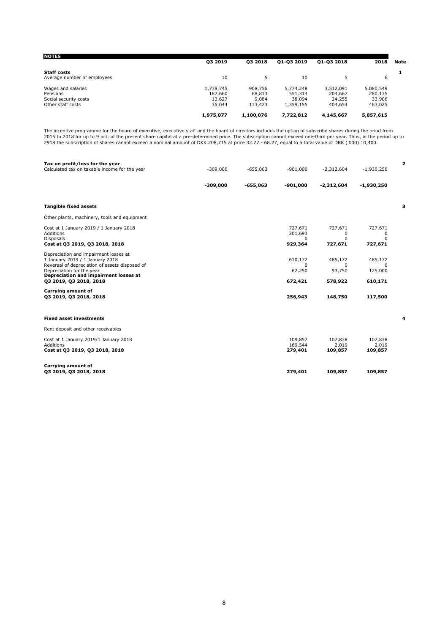| <b>NOTES</b>                |           |           |            |            |           |      |
|-----------------------------|-----------|-----------|------------|------------|-----------|------|
|                             | 03 2019   | 03 2018   | 01-03 2019 | 01-03 2018 | 2018      | Note |
| <b>Staff costs</b>          |           |           |            |            |           |      |
| Average number of employees | 10        | 5.        | 10         | 5          | 6         |      |
| Wages and salaries          | 1,738,745 | 908,756   | 5,774,248  | 3,512,091  | 5,080,549 |      |
| Pensions                    | 187,660   | 68,813    | 551,314    | 204,667    | 280,135   |      |
| Social security costs       | 13,627    | 9,084     | 38,094     | 24,255     | 33,906    |      |
| Other staff costs           | 35,044    | 113,423   | 1,359,155  | 404,654    | 463,025   |      |
|                             | 1,975,077 | 1.100.076 | 7.722.812  | 4.145.667  | 5,857,615 |      |

The incentive programme for the board of executive, executive staff and the board of directors includes the option of subscribe shares during the priod from<br>2015 to 2018 for up to 9 pct. of the present share capital at a p

| Tax on profit/loss for the year<br>Calculated tax on taxable income for the year                                                                                                                                           | $-309,000$ | $-655,063$ | $-901,000$                                | $-2,312,604$                             | $-1,930,250$                              | $\overline{a}$ |
|----------------------------------------------------------------------------------------------------------------------------------------------------------------------------------------------------------------------------|------------|------------|-------------------------------------------|------------------------------------------|-------------------------------------------|----------------|
|                                                                                                                                                                                                                            | $-309,000$ | $-655,063$ | $-901,000$                                | $-2,312,604$                             | $-1,930,250$                              |                |
| <b>Tangible fixed assets</b>                                                                                                                                                                                               |            |            |                                           |                                          |                                           | з              |
| Other plants, machinery, tools and equipment                                                                                                                                                                               |            |            |                                           |                                          |                                           |                |
| Cost at 1 January 2019 / 1 January 2018<br>Additions<br><b>Disposals</b><br>Cost at 03 2019, 03 2018, 2018                                                                                                                 |            |            | 727,671<br>201,693<br>$\Omega$<br>929,364 | 727,671<br>0<br>$\Omega$<br>727,671      | 727,671<br>0<br>$\Omega$<br>727,671       |                |
| Depreciation and impairment losses at<br>1 January 2019 / 1 January 2018<br>Reversal of depreciation of assets disposed of<br>Depreciation for the year<br>Depreciation and impairment losses at<br>03 2019, 03 2018, 2018 |            |            | 610,172<br>$\Omega$<br>62,250<br>672,421  | 485,172<br>$\Omega$<br>93,750<br>578,922 | 485,172<br>$\Omega$<br>125,000<br>610,171 |                |
| Carrying amount of<br>03 2019, 03 2018, 2018                                                                                                                                                                               |            |            | 256,943                                   | 148,750                                  | 117,500                                   |                |
| <b>Fixed asset investments</b>                                                                                                                                                                                             |            |            |                                           |                                          |                                           | 4              |
| Rent deposit and other receivables                                                                                                                                                                                         |            |            |                                           |                                          |                                           |                |
| Cost at 1 January 2019/1 January 2018<br>Additions<br>Cost at Q3 2019, Q3 2018, 2018                                                                                                                                       |            |            | 109,857<br>169,544<br>279,401             | 107,838<br>2,019<br>109,857              | 107,838<br>2,019<br>109,857               |                |
| Carrying amount of<br>Q3 2019, Q3 2018, 2018                                                                                                                                                                               |            |            | 279,401                                   | 109,857                                  | 109,857                                   |                |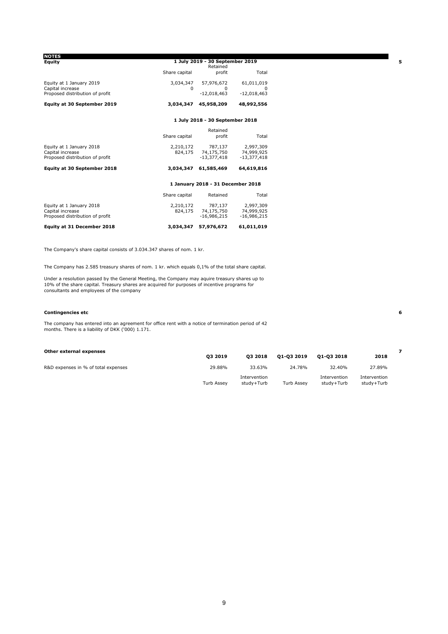| <b>NOTES</b>                                        |               |                                             |                    |
|-----------------------------------------------------|---------------|---------------------------------------------|--------------------|
| Equity                                              |               | 1 July 2019 - 30 September 2019<br>Retained |                    |
|                                                     | Share capital | profit                                      | Total              |
| Equity at 1 January 2019                            | 3,034,347     | 57,976,672                                  | 61,011,019         |
| Capital increase<br>Proposed distribution of profit | $\Omega$      | $^{\circ}$<br>$-12,018,463$                 | 0<br>$-12,018,463$ |
| Equity at 30 September 2019                         | 3,034,347     | 45,958,209                                  | 48,992,556         |
|                                                     |               | 1 July 2018 - 30 September 2018             |                    |
|                                                     |               | Retained                                    |                    |
|                                                     | Share capital | profit                                      | Total              |
| Equity at 1 January 2018                            | 2,210,172     | 787,137                                     | 2,997,309          |
| Capital increase                                    | 824,175       | 74,175,750                                  | 74,999,925         |
| Proposed distribution of profit                     |               | $-13,377,418$                               | $-13,377,418$      |
| <b>Equity at 30 September 2018</b>                  | 3.034.347     | 61,585,469                                  | 64,619,816         |
|                                                     |               | 1 January 2018 - 31 December 2018           |                    |
|                                                     | Share capital | Retained                                    | Total              |
| Equity at 1 January 2018                            | 2,210,172     | 787.137                                     | 2,997,309          |
| Capital increase                                    | 824,175       | 74,175,750                                  | 74,999,925         |
| Proposed distribution of profit                     |               | $-16.986.215$                               | $-16,986,215$      |
| Equity at 31 December 2018                          | 3,034,347     | 57,976,672                                  | 61,011,019         |

The Company's share capital consists of 3.034.347 shares of nom. 1 kr.

The Company has 2.585 treasury shares of nom. 1 kr. which equals 0,1% of the total share capital.

Under a resolution passed by the General Meeting, the Company may aquire treasury shares up to<br>10% of the share capital. Treasury shares are acquired for purposes of incentive programs for<br>consultants and employees of the

#### **Contingencies etc 6**

The company has entered into an agreement for office rent with a notice of termination period of 42 months. There is a liability of DKK ('000) 1.171.

| Other external expenses             |                   |                            |                   |                            |                            |  |
|-------------------------------------|-------------------|----------------------------|-------------------|----------------------------|----------------------------|--|
|                                     | 03 2019           | 03 2018                    | 01-03 2019        | 01-03 2018                 | 2018                       |  |
| R&D expenses in % of total expenses | 29.88%            | 33.63%                     | 24.78%            | 32.40%                     | 27.89%                     |  |
|                                     | <b>Turb Assev</b> | Intervention<br>studv+Turb | <b>Turb Assev</b> | Intervention<br>studv+Turb | Intervention<br>studv+Turb |  |